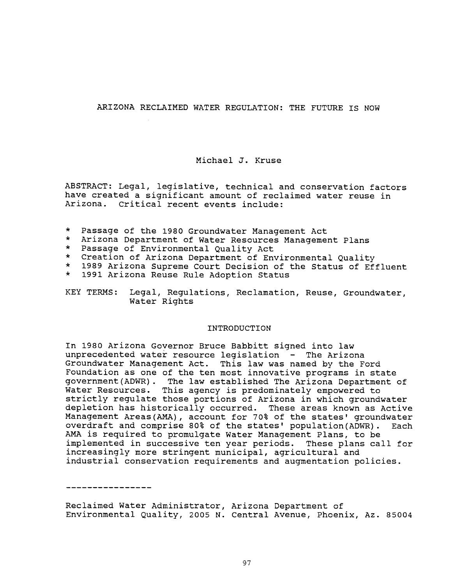# ARIZONA RECLAIMED WATER REGULATION: THE FUTURE IS NOW

# Michael J. Kruse

ABSTRACT: Legal, legislative, technical and conservation factors have created a significant amount of reclaimed water reuse in Arizona. Critical recent events include:

- \* Passage of the 1980 Groundwater Management Act
- \* Arizona Department of Water Resources Management Plans
- Passage of Environmental Quality Act
- \* Creation of Arizona Department of Environmental Quality<br>\* 1989 Arizona Supreme Court Decision of the Status of Ef
- 1989 Arizona Supreme Court Decision of the Status of Effluent
- \* 1991 Arizona Reuse Rule Adoption Status
- KEY TERMS: Legal, Regulations, Reclamation, Reuse, Groundwater, Water Rights

#### INTRODUCTION

In 1980 Arizona Governor Bruce Babbitt signed into law unprecedented water resource legislation - The Arizona Groundwater Management Act. This law was named by the Ford Foundation as one of the ten most innovative programs in state government(ADWR). The law established The Arizona Department of Water Resources. This agency is predominately empowered to strictly regulate those portions of Arizona in which groundwater depletion has historically occurred. These areas known as Active Management Areas(AMA), account for 70% of the states' groundwater overdraft and comprise 80% of the states' population(ADWR). Each AMA is required to promulgate Water Management Plans, to be implemented in successive ten year periods. These plans call for increasingly more stringent municipal, agricultural and industrial conservation requirements and augmentation policies.

. \_ \_ \_ \_ \_ \_ \_ \_ \_ \_ \_ \_ \_ \_ \_

Reclaimed Water Administrator, Arizona Department of Environmental Quality, 2005 N. Central Avenue, Phoenix, Az. 85004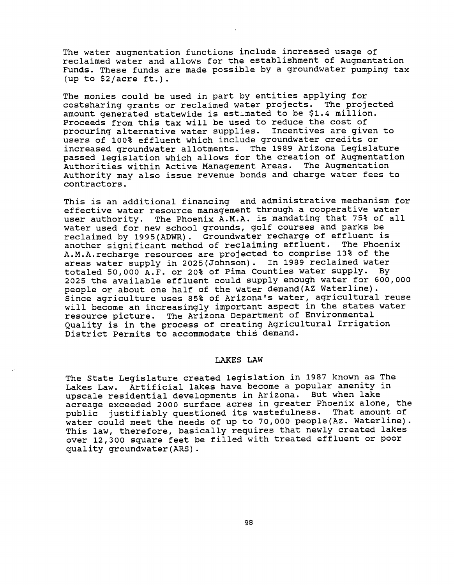The water augmentation functions include increased usage of reclaimed water and allows for the establishment of Augmentation Funds. These funds are made possible by a groundwater pumping tax (up to  $$2/acre$  ft.).

The monies could be used in part by entities applying for costsharing grants or reclaimed water projects. The projected amount generated statewide is est\_mated to be \$1.4 million. Proceeds from this tax will be used to reduce the cost of procuring alternative water supplies. Incentives are given to users of 100% effluent which include groundwater credits or increased groundwater allotments. The 1989 Arizona Legislature passed legislation which allows for the creation of Augmentation Authorities within Active Management Areas. The Augmentation Authority may also issue revenue bonds and charge water fees to contractors.

This is an additional financing and administrative mechanism for effective water resource management through a cooperative water user authority. The Phoenix A.M.A. is mandating that 75% of all water used for new school grounds, golf courses and parks be reclaimed by 1995(ADWR). Groundwater recharge of effluent is another significant method of reclaiming effluent. The Phoenix A.M.A.recharge resources are projected to comprise 13% of the areas water supply in 2025(Johnson). In 1989 reclaimed water totaled 50,000 A.F. or 20% of Pima Counties water supply. By 2025 the available effluent could supply enough water for 600,000 people or about one half of the water demand(AZ Waterline). Since agriculture uses 85% of Arizona's water, agricultural reuse will become an increasingly important aspect in the states water resource picture. The Arizona Department of Environmental Quality is in the process of creating Agricultural Irrigation District Permits to accommodate this demand.

### LAKES LAW

The State Legislature created legislation in 1987 known as The Lakes Law. Artificial lakes have become a popular amenity in upscale residential developments in Arizona. But when lake acreage exceeded 2000 surface acres in greater Phoenix alone, the public justifiably questioned its wastefulness. That amount of water could meet the needs of up to 70,000 people(Az. Waterline). This law, therefore, basically requires that newly created lakes over 12,300 square feet be filled with treated effluent or poor quality groundwater(ARS).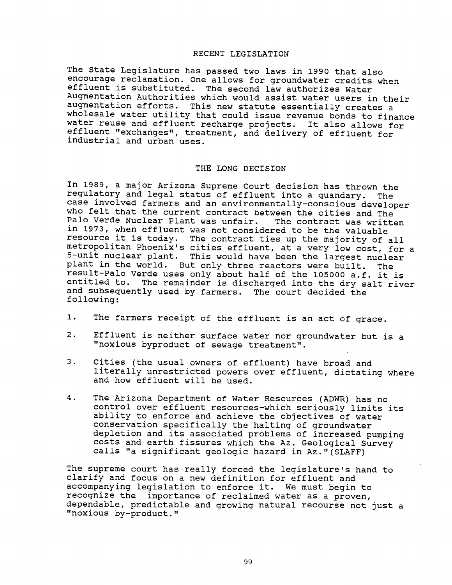### RECENT LEGISLATION

The State Legislature has passed two laws in 1990 that also encourage reclamation. One allows for groundwater credits when effluent is substituted. The second law authorizes Water Augmentation Authorities which would assist water users in their<br>augmentation efforts. This new statute essentially creates a wholesale water utility that could issue revenue bonds to finance water reuse and effluent recharge projects. It also allows for effluent "exchanges", treatment, and delivery of effluent for industrial and urban uses.

### THE LONG DECISION

In 1989, a major Arizona Supreme Court decision has thrown the regulatory and legal status of effluent into a quandary. The case involved farmers and an environmentally -conscious developer who felt that the current contract between the cities and The<br>Palo Verde Nuclear Plant was unfair. The contract was written Palo Verde Nuclear Plant was unfair. in 1973, when effluent was not considered to be the valuable resource it is today. The contract ties up the majority of all metropolitan Phoenix's cities effluent, at a very low cost, for a 5 -unit nuclear plant. This would have been the largest nuclear plant in the world. But only three reactors were built. The result-Palo Verde uses only about half of the 105000 a.f. it is entitled to. The remainder is discharged into the dry salt river and subsequently used by farmers. The court decided the following:

- 1. The farmers receipt of the effluent is an act of grace.
- 2. Effluent is neither surface water nor groundwater but is <sup>a</sup> "noxious byproduct of sewage treatment ".
- 3. Cities (the usual owners of effluent) have broad and literally unrestricted powers over effluent, dictating where and how effluent will be used.
- 4. The Arizona Department of Water Resources (ADWR) has no control over effluent resources -which seriously limits its ability to enforce and achieve the objectives of water conservation specifically the halting of groundwater depletion and its associated problems of increased pumping costs and earth fissures which the Az. Geological Survey calls "a significant geologic hazard in Az. "(SLAFF)

The supreme court has really forced the legislature's hand to clarify and focus on a new definition for effluent and accompanying legislation to enforce it. We must begin to recognize the importance of reclaimed water as a proven, dependable, predictable and growing natural recourse not just a "noxious by-product."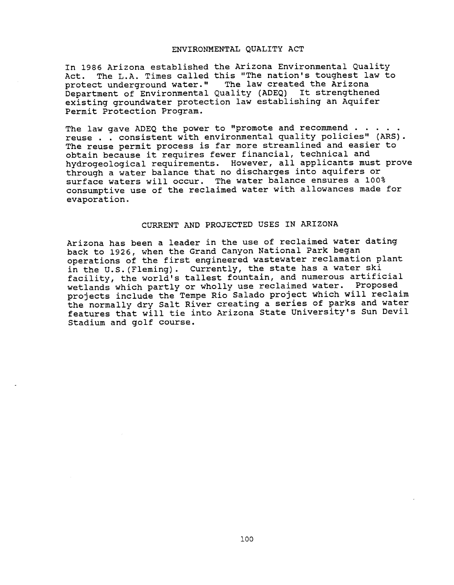#### ENVIRONMENTAL QUALITY ACT

In 1986 Arizona established the Arizona Environmental Quality Act. The L.A. Times called this "The nation's toughest law to protect underground water." The law created the Arizona Department of Environmental Quality (ADEQ) It strengthened existing groundwater protection law establishing an Aquifer Permit Protection Program.

The law gave ADEQ the power to "promote and recommend.. reuse . . consistent with environmental quality policies" (ARS). The reuse permit process is far more streamlined and easier to obtain because it requires fewer financial, technical and hydrogeological requirements. However, all applicants must prove through a water balance that no discharges into aquifers or surface waters will occur. The water balance ensures a 100% consumptive use of the reclaimed water with allowances made for evaporation.

### CURRENT AND PROJECTED USES IN ARIZONA

Arizona has been a leader in the use of reclaimed water dating back to 1926, when the Grand Canyon National Park began operations of the first engineered wastewater reclamation plant in the U.S. (Fleming). Currently, the state has a water ski facility, the world's tallest fountain, and numerous artificial wetlands which partly or wholly use reclaimed water. Proposed projects include the Tempe Rio Salado project which will reclaim the normally dry Salt River creating a series of parks and water features that will tie into Arizona State University's Sun Devil Stadium and golf course.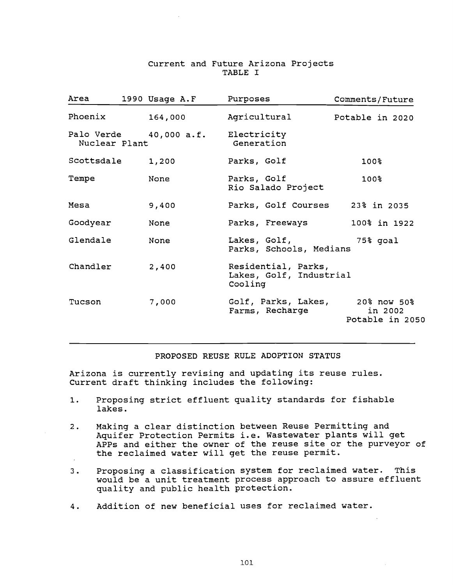# Current and Future Arizona Projects TABLE I

| Area          | 1990 Usage A.F | Purposes                                                  | Comments/Future                           |
|---------------|----------------|-----------------------------------------------------------|-------------------------------------------|
| Phoenix       | 164,000        | Agricultural                                              | Potable in 2020                           |
| Nuclear Plant |                | Palo Verde 40,000 a.f. Electricity<br>Generation          |                                           |
| Scottsdale    | 1,200          | Parks, Golf                                               | 100%                                      |
| Tempe         | None           | Parks, Golf<br>Rio Salado Project                         | 100%                                      |
| Mesa          | 9,400          | Parks, Golf Courses 23% in 2035                           |                                           |
| Goodyear      | None           | Parks, Freeways                                           | 100% in 1922                              |
| Glendale      | None           | Lakes, Golf,<br>Parks, Schools, Medians                   | 75% goal                                  |
| Chandler      | 2,400          | Residential, Parks,<br>Lakes, Golf, Industrial<br>Cooling |                                           |
| Tucson        | 7,000          | Golf, Parks, Lakes,<br>Farms, Recharge                    | 20% now 50%<br>in 2002<br>Potable in 2050 |

## PROPOSED REUSE RULE ADOPTION STATUS

Arizona is currently revising and updating its reuse rules. Current draft thinking includes the following:

- 1. Proposing strict effluent quality standards for fishable lakes.
- 2. Making a clear distinction between Reuse Permitting and Aquifer Protection Permits i.e. Wastewater plants will get APPs and either the owner of the reuse site or the purveyor of the reclaimed water will get the reuse permit.
- 3. Proposing a classification system for reclaimed water. This would be a unit treatment process approach to assure effluent quality and public health protection.
- 4. Addition of new beneficial uses for reclaimed water.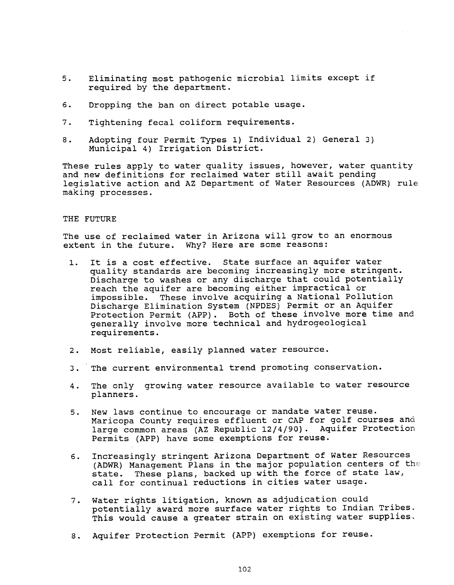- 5. Eliminating most pathogenic microbial limits except if required by the department.
- 6. Dropping the ban on direct potable usage.
- 7. Tightening fecal coliform requirements.
- 8. Adopting four Permit Types 1) Individual 2) General 3) Municipal 4) Irrigation District.

These rules apply to water quality issues, however, water quantity and new definitions for reclaimed water still await pending legislative action and AZ Department of Water Resources (ADWR) rule making processes.

#### THE FUTURE

The use of reclaimed water in Arizona will grow to an enormous extent in the future. Why? Here are some reasons:

- 1. It is a cost effective. State surface an aquifer water quality standards are becoming increasingly more stringent. Discharge to washes or any discharge that could potentially reach the aquifer are becoming either impractical or<br>impossible. These involve acquiring a National Poll These involve acquiring a National Pollution Discharge Elimination System (NPDES) Permit or an Aquifer Protection Permit (APP). Both of these involve more time and generally involve more technical and hydrogeological requirements.
- 2. Most reliable, easily planned water resource.
- 3. The current environmental trend promoting conservation.
- 4. The only growing water resource available to water resource planners.
- 5. New laws continue to encourage or mandate water reuse. Maricopa County requires effluent or CAP for golf courses and large common areas (AZ Republic 12/4/90). Aquifer Protection Permits (APP) have some exemptions for reuse.
- 6. Increasingly stringent Arizona Department of Water Resources (ADWR) Management Plans in the major population centers of the state. These plans, backed up with the force of state law, call for continual reductions in cities water usage.
- 7. Water rights litigation, known as adjudication could potentially award more surface water rights to Indian Tribes. This would cause a greater strain on existing water supplies.
- 8. Aquifer Protection Permit (APP) exemptions for reuse.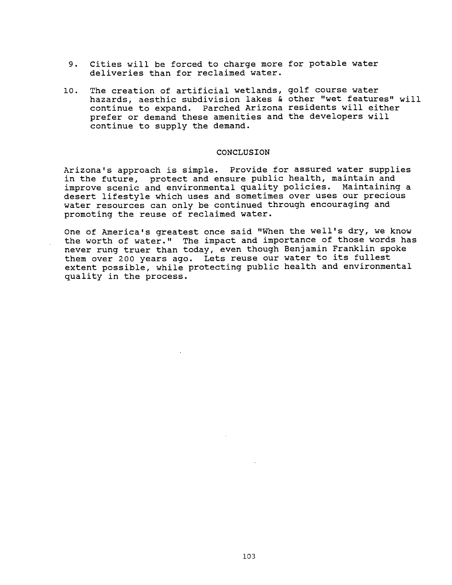- 9. Cities will be forced to charge more for potable water deliveries than for reclaimed water.
- 10. The creation of artificial wetlands, golf course water hazards, aesthic subdivision lakes & other "wet features" will continue to expand. Parched Arizona residents will either prefer or demand these amenities and the developers will continue to supply the demand.

#### CONCLUSION

Arizona's approach is simple. Provide for assured water supplies in the future, protect and ensure public health, maintain and improve scenic and environmental quality policies. Maintaining a desert lifestyle which uses and sometimes over uses our precious water resources can only be continued through encouraging and promoting the reuse of reclaimed water.

One of America's greatest once said "When the well's dry, we know the worth of water." The impact and importance of those words has never rung truer than today, even though Benjamin Franklin spoke them over 200 years ago. Lets reuse our water to its fullest extent possible, while protecting public health and environmental quality in the process.